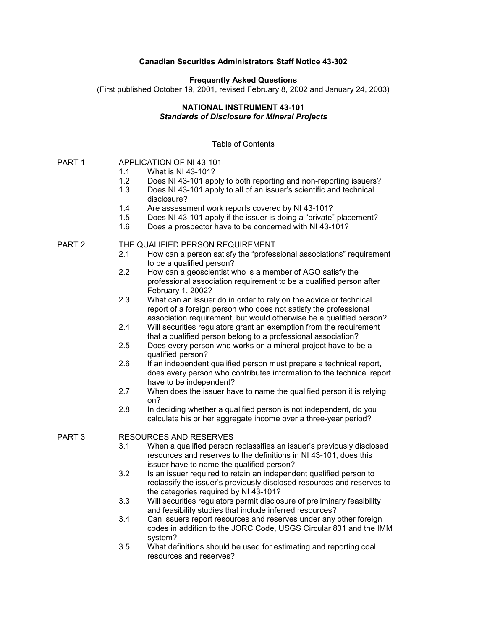## **Canadian Securities Administrators Staff Notice 43-302**

#### **Frequently Asked Questions**

(First published October 19, 2001, revised February 8, 2002 and January 24, 2003)

#### **NATIONAL INSTRUMENT 43-101** *Standards of Disclosure for Mineral Projects*

## Table of Contents

# PART 1 APPLICATION OF NI 43-101

- 1.1 What is NI 43-101?
- 1.2 Does NI 43-101 apply to both reporting and non-reporting issuers?
- 1.3 Does NI 43-101 apply to all of an issuer's scientific and technical disclosure?
- 1.4 Are assessment work reports covered by NI 43-101?
- 1.5 Does NI 43-101 apply if the issuer is doing a "private" placement?
- 1.6 Does a prospector have to be concerned with NI 43-101?

## PART 2 THE QUALIFIED PERSON REQUIREMENT

- 2.1 How can a person satisfy the "professional associations" requirement to be a qualified person?
- 2.2 How can a geoscientist who is a member of AGO satisfy the professional association requirement to be a qualified person after February 1, 2002?
- 2.3 What can an issuer do in order to rely on the advice or technical report of a foreign person who does not satisfy the professional association requirement, but would otherwise be a qualified person?
- 2.4 Will securities regulators grant an exemption from the requirement that a qualified person belong to a professional association?
- 2.5 Does every person who works on a mineral project have to be a qualified person?
- 2.6 If an independent qualified person must prepare a technical report, does every person who contributes information to the technical report have to be independent?
- 2.7 When does the issuer have to name the qualified person it is relying on?
- 2.8 In deciding whether a qualified person is not independent, do you calculate his or her aggregate income over a three-year period?

#### PART 3 RESOURCES AND RESERVES

- 3.1 When a qualified person reclassifies an issuer's previously disclosed resources and reserves to the definitions in NI 43-101, does this issuer have to name the qualified person?
- 3.2 Is an issuer required to retain an independent qualified person to reclassify the issuer's previously disclosed resources and reserves to the categories required by NI 43-101?
- 3.3 Will securities regulators permit disclosure of preliminary feasibility and feasibility studies that include inferred resources?
- 3.4 Can issuers report resources and reserves under any other foreign codes in addition to the JORC Code, USGS Circular 831 and the IMM system?
- 3.5 What definitions should be used for estimating and reporting coal resources and reserves?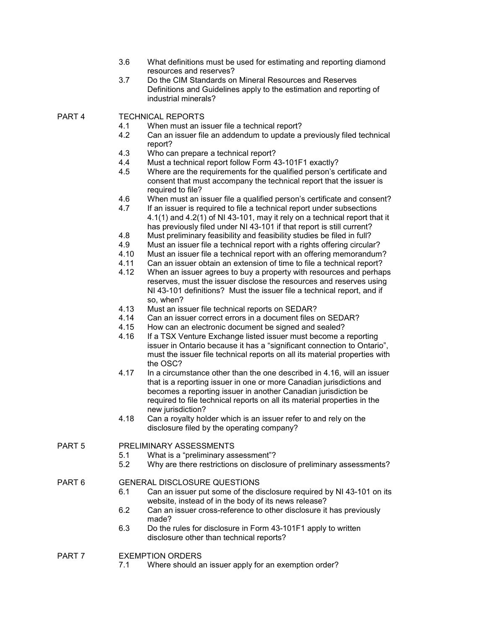- 3.6 What definitions must be used for estimating and reporting diamond resources and reserves?
- 3.7 Do the CIM Standards on Mineral Resources and Reserves Definitions and Guidelines apply to the estimation and reporting of industrial minerals?

PART 4 TECHNICAL REPORTS

- 4.1 When must an issuer file a technical report?
- 4.2 Can an issuer file an addendum to update a previously filed technical report?
- 4.3 Who can prepare a technical report?
- 4.4 Must a technical report follow Form 43-101F1 exactly?<br>4.5 Where are the requirements for the qualified person's q
- Where are the requirements for the qualified person's certificate and consent that must accompany the technical report that the issuer is required to file?
- 4.6 When must an issuer file a qualified person's certificate and consent?
- 4.7 If an issuer is required to file a technical report under subsections 4.1(1) and 4.2(1) of NI 43-101, may it rely on a technical report that it has previously filed under NI 43-101 if that report is still current?
- 4.8 Must preliminary feasibility and feasibility studies be filed in full?<br>4.9 Must an issuer file a technical report with a rights offering circula
- Must an issuer file a technical report with a rights offering circular?
- 4.10 Must an issuer file a technical report with an offering memorandum?
- 4.11 Can an issuer obtain an extension of time to file a technical report?
- 4.12 When an issuer agrees to buy a property with resources and perhaps reserves, must the issuer disclose the resources and reserves using NI 43-101 definitions? Must the issuer file a technical report, and if so, when?
- 4.13 Must an issuer file technical reports on SEDAR?
- 4.14 Can an issuer correct errors in a document files on SEDAR?
- 4.15 How can an electronic document be signed and sealed?
- 4.16 If a TSX Venture Exchange listed issuer must become a reporting issuer in Ontario because it has a "significant connection to Ontario", must the issuer file technical reports on all its material properties with the OSC?
- 4.17 In a circumstance other than the one described in 4.16, will an issuer that is a reporting issuer in one or more Canadian jurisdictions and becomes a reporting issuer in another Canadian jurisdiction be required to file technical reports on all its material properties in the new jurisdiction?
- 4.18 Can a royalty holder which is an issuer refer to and rely on the disclosure filed by the operating company?

PART 5 PRELIMINARY ASSESSMENTS

- 5.1 What is a "preliminary assessment"?
- 5.2 Why are there restrictions on disclosure of preliminary assessments?

# PART 6 GENERAL DISCLOSURE QUESTIONS

- 6.1 Can an issuer put some of the disclosure required by NI 43-101 on its website, instead of in the body of its news release?
- 6.2 Can an issuer cross-reference to other disclosure it has previously made?
- 6.3 Do the rules for disclosure in Form 43-101F1 apply to written disclosure other than technical reports?

## PART 7 EXEMPTION ORDERS

7.1 Where should an issuer apply for an exemption order?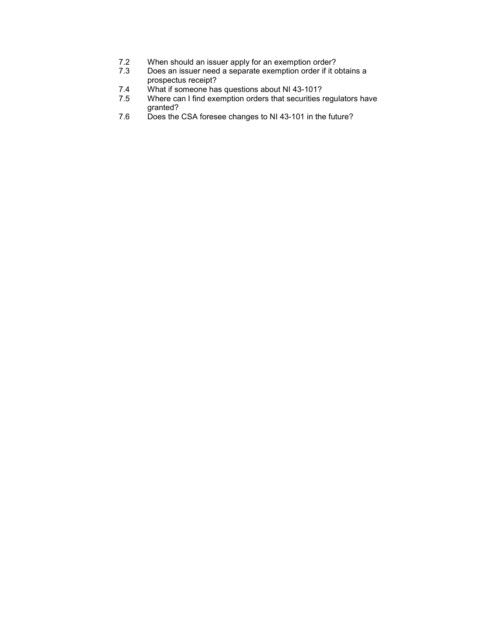- 7.2 When should an issuer apply for an exemption order?<br>7.3 Does an issuer need a separate exemption order if it of
- Does an issuer need a separate exemption order if it obtains a prospectus receipt?
- 7.4 What if someone has questions about NI 43-101?
- 7.5 Where can I find exemption orders that securities regulators have granted?
- 7.6 Does the CSA foresee changes to NI 43-101 in the future?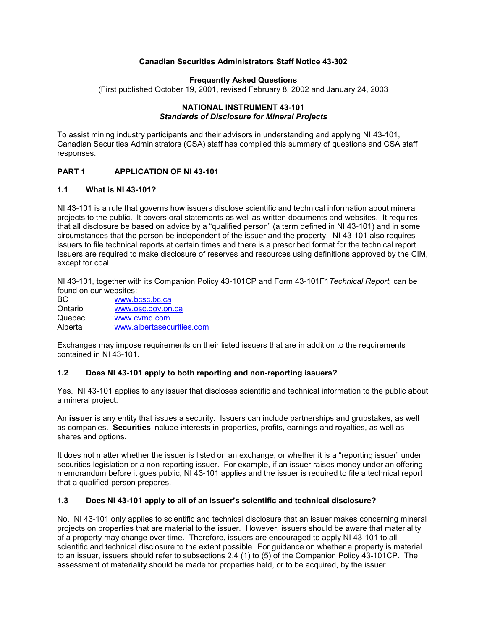## **Canadian Securities Administrators Staff Notice 43-302**

#### **Frequently Asked Questions**

(First published October 19, 2001, revised February 8, 2002 and January 24, 2003

#### **NATIONAL INSTRUMENT 43-101** *Standards of Disclosure for Mineral Projects*

To assist mining industry participants and their advisors in understanding and applying NI 43-101, Canadian Securities Administrators (CSA) staff has compiled this summary of questions and CSA staff responses.

## **PART 1 APPLICATION OF NI 43-101**

#### **1.1 What is NI 43-101?**

NI 43-101 is a rule that governs how issuers disclose scientific and technical information about mineral projects to the public. It covers oral statements as well as written documents and websites. It requires that all disclosure be based on advice by a "qualified person" (a term defined in NI 43-101) and in some circumstances that the person be independent of the issuer and the property. NI 43-101 also requires issuers to file technical reports at certain times and there is a prescribed format for the technical report. Issuers are required to make disclosure of reserves and resources using definitions approved by the CIM, except for coal.

NI 43-101, together with its Companion Policy 43-101CP and Form 43-101F1*Technical Report,* can be found on our websites:

| BC.     | www.bcsc.bc.ca            |  |
|---------|---------------------------|--|
| Ontario | www.osc.gov.on.ca         |  |
| Quebec  | www.cyma.com              |  |
| Alberta | www.albertasecurities.com |  |

Exchanges may impose requirements on their listed issuers that are in addition to the requirements contained in NI 43-101.

#### **1.2 Does NI 43-101 apply to both reporting and non-reporting issuers?**

Yes. NI 43-101 applies to any issuer that discloses scientific and technical information to the public about a mineral project.

An **issuer** is any entity that issues a security. Issuers can include partnerships and grubstakes, as well as companies. **Securities** include interests in properties, profits, earnings and royalties, as well as shares and options.

It does not matter whether the issuer is listed on an exchange, or whether it is a "reporting issuer" under securities legislation or a non-reporting issuer. For example, if an issuer raises money under an offering memorandum before it goes public, NI 43-101 applies and the issuer is required to file a technical report that a qualified person prepares.

#### **1.3 Does NI 43-101 apply to all of an issuer's scientific and technical disclosure?**

No. NI 43-101 only applies to scientific and technical disclosure that an issuer makes concerning mineral projects on properties that are material to the issuer. However, issuers should be aware that materiality of a property may change over time. Therefore, issuers are encouraged to apply NI 43-101 to all scientific and technical disclosure to the extent possible. For guidance on whether a property is material to an issuer, issuers should refer to subsections 2.4 (1) to (5) of the Companion Policy 43-101CP. The assessment of materiality should be made for properties held, or to be acquired, by the issuer.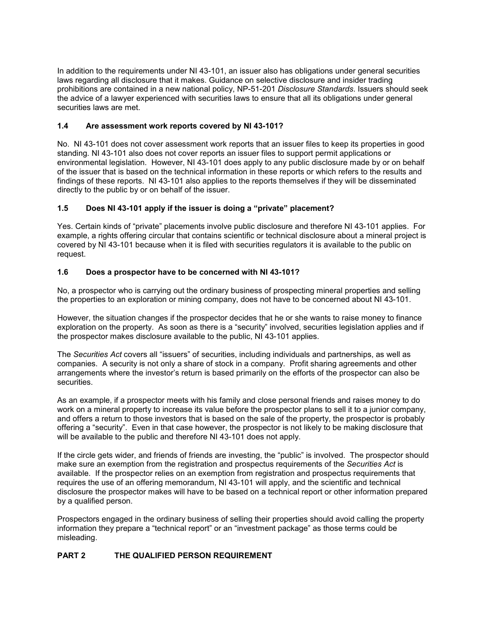In addition to the requirements under NI 43-101, an issuer also has obligations under general securities laws regarding all disclosure that it makes. Guidance on selective disclosure and insider trading prohibitions are contained in a new national policy, NP-51-201 *Disclosure Standards*. Issuers should seek the advice of a lawyer experienced with securities laws to ensure that all its obligations under general securities laws are met.

# **1.4 Are assessment work reports covered by NI 43-101?**

No. NI 43-101 does not cover assessment work reports that an issuer files to keep its properties in good standing. NI 43-101 also does not cover reports an issuer files to support permit applications or environmental legislation. However, NI 43-101 does apply to any public disclosure made by or on behalf of the issuer that is based on the technical information in these reports or which refers to the results and findings of these reports. NI 43-101 also applies to the reports themselves if they will be disseminated directly to the public by or on behalf of the issuer.

# **1.5 Does NI 43-101 apply if the issuer is doing a "private" placement?**

Yes. Certain kinds of "private" placements involve public disclosure and therefore NI 43-101 applies. For example, a rights offering circular that contains scientific or technical disclosure about a mineral project is covered by NI 43-101 because when it is filed with securities regulators it is available to the public on request.

# **1.6 Does a prospector have to be concerned with NI 43-101?**

No, a prospector who is carrying out the ordinary business of prospecting mineral properties and selling the properties to an exploration or mining company, does not have to be concerned about NI 43-101.

However, the situation changes if the prospector decides that he or she wants to raise money to finance exploration on the property. As soon as there is a "security" involved, securities legislation applies and if the prospector makes disclosure available to the public, NI 43-101 applies.

The *Securities Act* covers all "issuers" of securities, including individuals and partnerships, as well as companies. A security is not only a share of stock in a company. Profit sharing agreements and other arrangements where the investor's return is based primarily on the efforts of the prospector can also be securities.

As an example, if a prospector meets with his family and close personal friends and raises money to do work on a mineral property to increase its value before the prospector plans to sell it to a junior company, and offers a return to those investors that is based on the sale of the property, the prospector is probably offering a "security". Even in that case however, the prospector is not likely to be making disclosure that will be available to the public and therefore NI 43-101 does not apply.

If the circle gets wider, and friends of friends are investing, the "public" is involved. The prospector should make sure an exemption from the registration and prospectus requirements of the *Securities Act* is available. If the prospector relies on an exemption from registration and prospectus requirements that requires the use of an offering memorandum, NI 43-101 will apply, and the scientific and technical disclosure the prospector makes will have to be based on a technical report or other information prepared by a qualified person.

Prospectors engaged in the ordinary business of selling their properties should avoid calling the property information they prepare a "technical report" or an "investment package" as those terms could be misleading.

# **PART 2 THE QUALIFIED PERSON REQUIREMENT**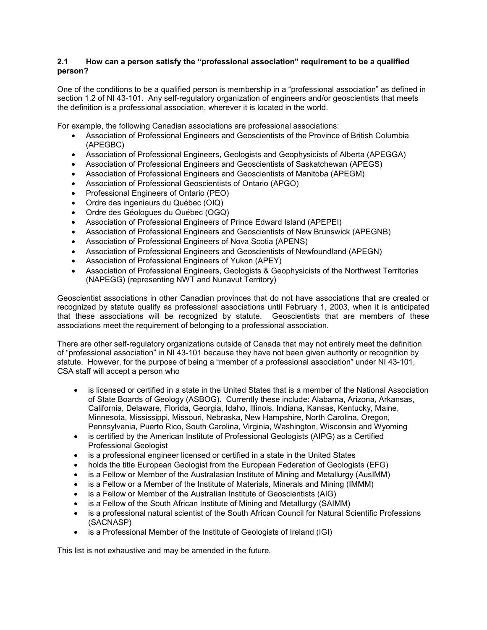# **2.1 How can a person satisfy the "professional association" requirement to be a qualified person?**

One of the conditions to be a qualified person is membership in a "professional association" as defined in section 1.2 of NI 43-101. Any self-regulatory organization of engineers and/or geoscientists that meets the definition is a professional association, wherever it is located in the world.

For example, the following Canadian associations are professional associations:

- Association of Professional Engineers and Geoscientists of the Province of British Columbia (APEGBC)
- Association of Professional Engineers, Geologists and Geophysicists of Alberta (APEGGA)
- Association of Professional Engineers and Geoscientists of Saskatchewan (APEGS)
- Association of Professional Engineers and Geoscientists of Manitoba (APEGM)
- Association of Professional Geoscientists of Ontario (APGO)
- Professional Engineers of Ontario (PEO)
- Ordre des ingenieurs du Québec (OIQ)
- Ordre des Géologues du Québec (OGQ)
- Association of Professional Engineers of Prince Edward Island (APEPEI)
- Association of Professional Engineers and Geoscientists of New Brunswick (APEGNB)
- Association of Professional Engineers of Nova Scotia (APENS)
- Association of Professional Engineers and Geoscientists of Newfoundland (APEGN)
- Association of Professional Engineers of Yukon (APEY)
- Association of Professional Engineers, Geologists & Geophysicists of the Northwest Territories (NAPEGG) (representing NWT and Nunavut Territory)

Geoscientist associations in other Canadian provinces that do not have associations that are created or recognized by statute qualify as professional associations until February 1, 2003, when it is anticipated that these associations will be recognized by statute. Geoscientists that are members of these associations meet the requirement of belonging to a professional association.

There are other self-regulatory organizations outside of Canada that may not entirely meet the definition of "professional association" in NI 43-101 because they have not been given authority or recognition by statute. However, for the purpose of being a "member of a professional association" under NI 43-101, CSA staff will accept a person who

- is licensed or certified in a state in the United States that is a member of the National Association of State Boards of Geology (ASBOG). Currently these include: Alabama, Arizona, Arkansas, California, Delaware, Florida, Georgia, Idaho, Illinois, Indiana, Kansas, Kentucky, Maine, Minnesota, Mississippi, Missouri, Nebraska, New Hampshire, North Carolina, Oregon, Pennsylvania, Puerto Rico, South Carolina, Virginia, Washington, Wisconsin and Wyoming
- is certified by the American Institute of Professional Geologists (AIPG) as a Certified Professional Geologist
- is a professional engineer licensed or certified in a state in the United States
- holds the title European Geologist from the European Federation of Geologists (EFG)
- is a Fellow or Member of the Australasian Institute of Mining and Metallurgy (AusIMM)
- is a Fellow or a Member of the Institute of Materials, Minerals and Mining (IMMM)
- is a Fellow or Member of the Australian Institute of Geoscientists (AIG)
- is a Fellow of the South African Institute of Mining and Metallurgy (SAIMM)
- is a professional natural scientist of the South African Council for Natural Scientific Professions (SACNASP)
- is a Professional Member of the Institute of Geologists of Ireland (IGI)

This list is not exhaustive and may be amended in the future.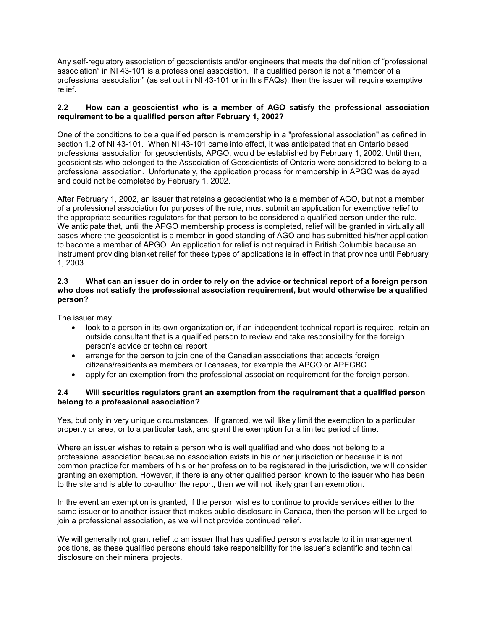Any self-regulatory association of geoscientists and/or engineers that meets the definition of "professional association" in NI 43-101 is a professional association. If a qualified person is not a "member of a professional association" (as set out in NI 43-101 or in this FAQs), then the issuer will require exemptive relief.

## **2.2 How can a geoscientist who is a member of AGO satisfy the professional association requirement to be a qualified person after February 1, 2002?**

One of the conditions to be a qualified person is membership in a "professional association" as defined in section 1.2 of NI 43-101. When NI 43-101 came into effect, it was anticipated that an Ontario based professional association for geoscientists, APGO, would be established by February 1, 2002. Until then, geoscientists who belonged to the Association of Geoscientists of Ontario were considered to belong to a professional association. Unfortunately, the application process for membership in APGO was delayed and could not be completed by February 1, 2002.

After February 1, 2002, an issuer that retains a geoscientist who is a member of AGO, but not a member of a professional association for purposes of the rule, must submit an application for exemptive relief to the appropriate securities regulators for that person to be considered a qualified person under the rule. We anticipate that, until the APGO membership process is completed, relief will be granted in virtually all cases where the geoscientist is a member in good standing of AGO and has submitted his/her application to become a member of APGO. An application for relief is not required in British Columbia because an instrument providing blanket relief for these types of applications is in effect in that province until February 1, 2003.

#### **2.3 What can an issuer do in order to rely on the advice or technical report of a foreign person who does not satisfy the professional association requirement, but would otherwise be a qualified person?**

The issuer may

- look to a person in its own organization or, if an independent technical report is required, retain an outside consultant that is a qualified person to review and take responsibility for the foreign person's advice or technical report
- arrange for the person to join one of the Canadian associations that accepts foreign citizens/residents as members or licensees, for example the APGO or APEGBC
- apply for an exemption from the professional association requirement for the foreign person.

## **2.4 Will securities regulators grant an exemption from the requirement that a qualified person belong to a professional association?**

Yes, but only in very unique circumstances. If granted, we will likely limit the exemption to a particular property or area, or to a particular task, and grant the exemption for a limited period of time.

Where an issuer wishes to retain a person who is well qualified and who does not belong to a professional association because no association exists in his or her jurisdiction or because it is not common practice for members of his or her profession to be registered in the jurisdiction, we will consider granting an exemption. However, if there is any other qualified person known to the issuer who has been to the site and is able to co-author the report, then we will not likely grant an exemption.

In the event an exemption is granted, if the person wishes to continue to provide services either to the same issuer or to another issuer that makes public disclosure in Canada, then the person will be urged to join a professional association, as we will not provide continued relief.

We will generally not grant relief to an issuer that has qualified persons available to it in management positions, as these qualified persons should take responsibility for the issuer's scientific and technical disclosure on their mineral projects.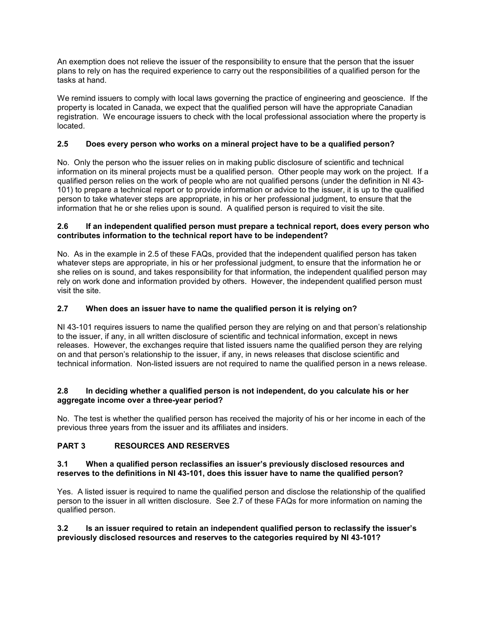An exemption does not relieve the issuer of the responsibility to ensure that the person that the issuer plans to rely on has the required experience to carry out the responsibilities of a qualified person for the tasks at hand.

We remind issuers to comply with local laws governing the practice of engineering and geoscience. If the property is located in Canada, we expect that the qualified person will have the appropriate Canadian registration. We encourage issuers to check with the local professional association where the property is located.

# **2.5 Does every person who works on a mineral project have to be a qualified person?**

No. Only the person who the issuer relies on in making public disclosure of scientific and technical information on its mineral projects must be a qualified person. Other people may work on the project. If a qualified person relies on the work of people who are not qualified persons (under the definition in NI 43- 101) to prepare a technical report or to provide information or advice to the issuer, it is up to the qualified person to take whatever steps are appropriate, in his or her professional judgment, to ensure that the information that he or she relies upon is sound. A qualified person is required to visit the site.

#### **2.6 If an independent qualified person must prepare a technical report, does every person who contributes information to the technical report have to be independent?**

No. As in the example in 2.5 of these FAQs, provided that the independent qualified person has taken whatever steps are appropriate, in his or her professional judgment, to ensure that the information he or she relies on is sound, and takes responsibility for that information, the independent qualified person may rely on work done and information provided by others. However, the independent qualified person must visit the site.

## **2.7 When does an issuer have to name the qualified person it is relying on?**

NI 43-101 requires issuers to name the qualified person they are relying on and that person's relationship to the issuer, if any, in all written disclosure of scientific and technical information, except in news releases. However, the exchanges require that listed issuers name the qualified person they are relying on and that person's relationship to the issuer, if any, in news releases that disclose scientific and technical information. Non-listed issuers are not required to name the qualified person in a news release.

## **2.8 In deciding whether a qualified person is not independent, do you calculate his or her aggregate income over a three-year period?**

No. The test is whether the qualified person has received the majority of his or her income in each of the previous three years from the issuer and its affiliates and insiders.

## **PART 3 RESOURCES AND RESERVES**

#### **3.1 When a qualified person reclassifies an issuer's previously disclosed resources and reserves to the definitions in NI 43-101, does this issuer have to name the qualified person?**

Yes. A listed issuer is required to name the qualified person and disclose the relationship of the qualified person to the issuer in all written disclosure. See 2.7 of these FAQs for more information on naming the qualified person.

## **3.2 Is an issuer required to retain an independent qualified person to reclassify the issuer's previously disclosed resources and reserves to the categories required by NI 43-101?**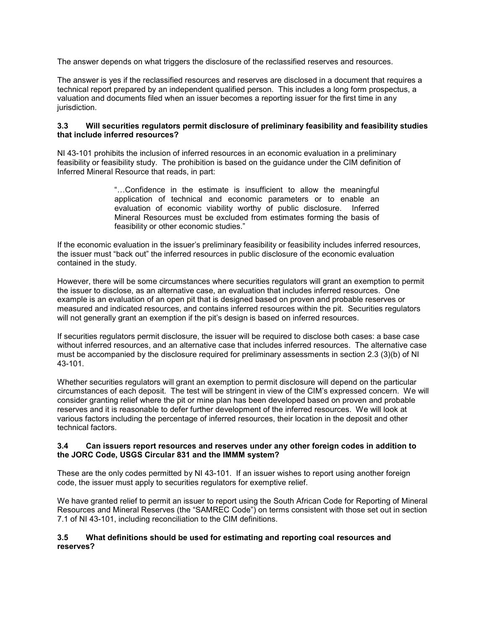The answer depends on what triggers the disclosure of the reclassified reserves and resources.

The answer is yes if the reclassified resources and reserves are disclosed in a document that requires a technical report prepared by an independent qualified person. This includes a long form prospectus, a valuation and documents filed when an issuer becomes a reporting issuer for the first time in any jurisdiction.

#### **3.3 Will securities regulators permit disclosure of preliminary feasibility and feasibility studies that include inferred resources?**

NI 43-101 prohibits the inclusion of inferred resources in an economic evaluation in a preliminary feasibility or feasibility study. The prohibition is based on the guidance under the CIM definition of Inferred Mineral Resource that reads, in part:

> "…Confidence in the estimate is insufficient to allow the meaningful application of technical and economic parameters or to enable an evaluation of economic viability worthy of public disclosure. Inferred Mineral Resources must be excluded from estimates forming the basis of feasibility or other economic studies."

If the economic evaluation in the issuer's preliminary feasibility or feasibility includes inferred resources, the issuer must "back out" the inferred resources in public disclosure of the economic evaluation contained in the study.

However, there will be some circumstances where securities regulators will grant an exemption to permit the issuer to disclose, as an alternative case, an evaluation that includes inferred resources. One example is an evaluation of an open pit that is designed based on proven and probable reserves or measured and indicated resources, and contains inferred resources within the pit. Securities regulators will not generally grant an exemption if the pit's design is based on inferred resources.

If securities regulators permit disclosure, the issuer will be required to disclose both cases: a base case without inferred resources, and an alternative case that includes inferred resources. The alternative case must be accompanied by the disclosure required for preliminary assessments in section 2.3 (3)(b) of NI 43-101.

Whether securities regulators will grant an exemption to permit disclosure will depend on the particular circumstances of each deposit. The test will be stringent in view of the CIM's expressed concern. We will consider granting relief where the pit or mine plan has been developed based on proven and probable reserves and it is reasonable to defer further development of the inferred resources. We will look at various factors including the percentage of inferred resources, their location in the deposit and other technical factors.

#### **3.4 Can issuers report resources and reserves under any other foreign codes in addition to the JORC Code, USGS Circular 831 and the IMMM system?**

These are the only codes permitted by NI 43-101. If an issuer wishes to report using another foreign code, the issuer must apply to securities regulators for exemptive relief.

We have granted relief to permit an issuer to report using the South African Code for Reporting of Mineral Resources and Mineral Reserves (the "SAMREC Code") on terms consistent with those set out in section 7.1 of NI 43-101, including reconciliation to the CIM definitions.

## **3.5 What definitions should be used for estimating and reporting coal resources and reserves?**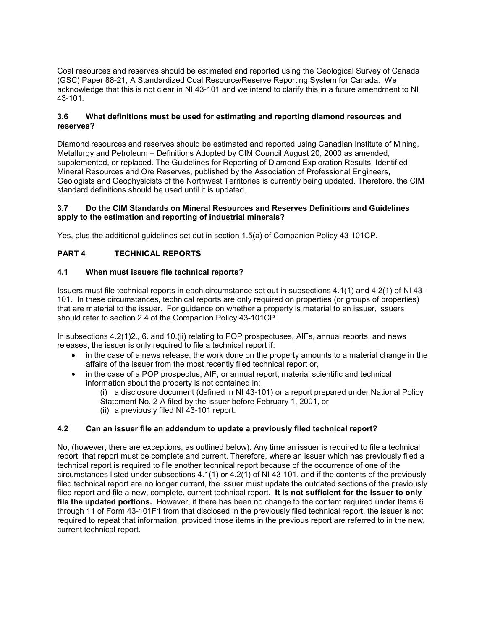Coal resources and reserves should be estimated and reported using the Geological Survey of Canada (GSC) Paper 88-21, A Standardized Coal Resource/Reserve Reporting System for Canada. We acknowledge that this is not clear in NI 43-101 and we intend to clarify this in a future amendment to NI 43-101.

## **3.6 What definitions must be used for estimating and reporting diamond resources and reserves?**

Diamond resources and reserves should be estimated and reported using Canadian Institute of Mining, Metallurgy and Petroleum – Definitions Adopted by CIM Council August 20, 2000 as amended, supplemented, or replaced. The Guidelines for Reporting of Diamond Exploration Results, Identified Mineral Resources and Ore Reserves, published by the Association of Professional Engineers, Geologists and Geophysicists of the Northwest Territories is currently being updated. Therefore, the CIM standard definitions should be used until it is updated.

## **3.7 Do the CIM Standards on Mineral Resources and Reserves Definitions and Guidelines apply to the estimation and reporting of industrial minerals?**

Yes, plus the additional guidelines set out in section 1.5(a) of Companion Policy 43-101CP.

# **PART 4 TECHNICAL REPORTS**

## **4.1 When must issuers file technical reports?**

Issuers must file technical reports in each circumstance set out in subsections 4.1(1) and 4.2(1) of NI 43- 101. In these circumstances, technical reports are only required on properties (or groups of properties) that are material to the issuer. For guidance on whether a property is material to an issuer, issuers should refer to section 2.4 of the Companion Policy 43-101CP.

In subsections 4.2(1)2., 6. and 10.(ii) relating to POP prospectuses, AIFs, annual reports, and news releases, the issuer is only required to file a technical report if:

- in the case of a news release, the work done on the property amounts to a material change in the affairs of the issuer from the most recently filed technical report or,
- in the case of a POP prospectus, AIF, or annual report, material scientific and technical information about the property is not contained in:

(i) a disclosure document (defined in NI 43-101) or a report prepared under National Policy Statement No. 2-A filed by the issuer before February 1, 2001, or (ii) a previously filed NI 43-101 report.

## **4.2 Can an issuer file an addendum to update a previously filed technical report?**

No, (however, there are exceptions, as outlined below). Any time an issuer is required to file a technical report, that report must be complete and current. Therefore, where an issuer which has previously filed a technical report is required to file another technical report because of the occurrence of one of the circumstances listed under subsections 4.1(1) or 4.2(1) of NI 43-101, and if the contents of the previously filed technical report are no longer current, the issuer must update the outdated sections of the previously filed report and file a new, complete, current technical report. **It is not sufficient for the issuer to only file the updated portions.** However, if there has been no change to the content required under Items 6 through 11 of Form 43-101F1 from that disclosed in the previously filed technical report, the issuer is not required to repeat that information, provided those items in the previous report are referred to in the new, current technical report.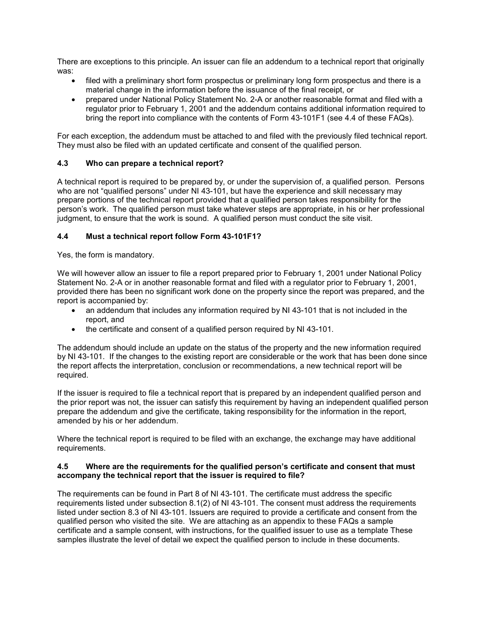There are exceptions to this principle. An issuer can file an addendum to a technical report that originally was:

- filed with a preliminary short form prospectus or preliminary long form prospectus and there is a material change in the information before the issuance of the final receipt, or
- prepared under National Policy Statement No. 2-A or another reasonable format and filed with a regulator prior to February 1, 2001 and the addendum contains additional information required to bring the report into compliance with the contents of Form 43-101F1 (see 4.4 of these FAQs).

For each exception, the addendum must be attached to and filed with the previously filed technical report. They must also be filed with an updated certificate and consent of the qualified person.

## **4.3 Who can prepare a technical report?**

A technical report is required to be prepared by, or under the supervision of, a qualified person. Persons who are not "qualified persons" under NI 43-101, but have the experience and skill necessary may prepare portions of the technical report provided that a qualified person takes responsibility for the person's work. The qualified person must take whatever steps are appropriate, in his or her professional judgment, to ensure that the work is sound. A qualified person must conduct the site visit.

## **4.4 Must a technical report follow Form 43-101F1?**

Yes, the form is mandatory.

We will however allow an issuer to file a report prepared prior to February 1, 2001 under National Policy Statement No. 2-A or in another reasonable format and filed with a regulator prior to February 1, 2001, provided there has been no significant work done on the property since the report was prepared, and the report is accompanied by:

- an addendum that includes any information required by NI 43-101 that is not included in the report, and
- the certificate and consent of a qualified person required by NI 43-101.

The addendum should include an update on the status of the property and the new information required by NI 43-101. If the changes to the existing report are considerable or the work that has been done since the report affects the interpretation, conclusion or recommendations, a new technical report will be required.

If the issuer is required to file a technical report that is prepared by an independent qualified person and the prior report was not, the issuer can satisfy this requirement by having an independent qualified person prepare the addendum and give the certificate, taking responsibility for the information in the report, amended by his or her addendum.

Where the technical report is required to be filed with an exchange, the exchange may have additional requirements.

#### **4.5 Where are the requirements for the qualified person's certificate and consent that must accompany the technical report that the issuer is required to file?**

The requirements can be found in Part 8 of NI 43-101. The certificate must address the specific requirements listed under subsection 8.1(2) of NI 43-101. The consent must address the requirements listed under section 8.3 of NI 43-101. Issuers are required to provide a certificate and consent from the qualified person who visited the site. We are attaching as an appendix to these FAQs a sample certificate and a sample consent, with instructions, for the qualified issuer to use as a template These samples illustrate the level of detail we expect the qualified person to include in these documents.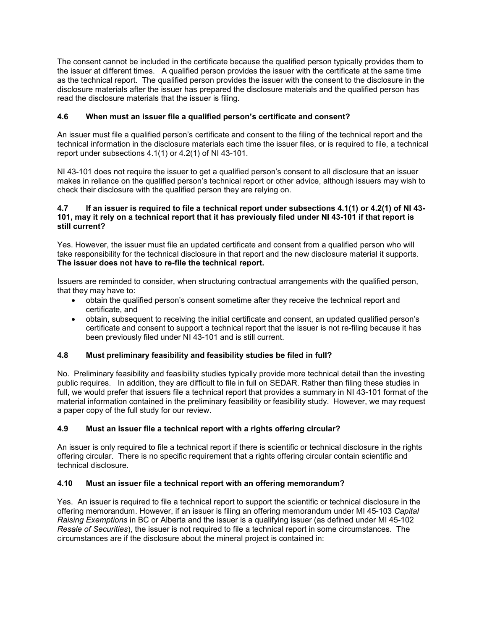The consent cannot be included in the certificate because the qualified person typically provides them to the issuer at different times. A qualified person provides the issuer with the certificate at the same time as the technical report. The qualified person provides the issuer with the consent to the disclosure in the disclosure materials after the issuer has prepared the disclosure materials and the qualified person has read the disclosure materials that the issuer is filing.

# **4.6 When must an issuer file a qualified person's certificate and consent?**

An issuer must file a qualified person's certificate and consent to the filing of the technical report and the technical information in the disclosure materials each time the issuer files, or is required to file, a technical report under subsections 4.1(1) or 4.2(1) of NI 43-101.

NI 43-101 does not require the issuer to get a qualified person's consent to all disclosure that an issuer makes in reliance on the qualified person's technical report or other advice, although issuers may wish to check their disclosure with the qualified person they are relying on.

## **4.7 If an issuer is required to file a technical report under subsections 4.1(1) or 4.2(1) of NI 43- 101, may it rely on a technical report that it has previously filed under NI 43-101 if that report is still current?**

Yes. However, the issuer must file an updated certificate and consent from a qualified person who will take responsibility for the technical disclosure in that report and the new disclosure material it supports. **The issuer does not have to re-file the technical report.**

Issuers are reminded to consider, when structuring contractual arrangements with the qualified person, that they may have to:

- obtain the qualified person's consent sometime after they receive the technical report and certificate, and
- obtain, subsequent to receiving the initial certificate and consent, an updated qualified person's certificate and consent to support a technical report that the issuer is not re-filing because it has been previously filed under NI 43-101 and is still current.

## **4.8 Must preliminary feasibility and feasibility studies be filed in full?**

No. Preliminary feasibility and feasibility studies typically provide more technical detail than the investing public requires. In addition, they are difficult to file in full on SEDAR. Rather than filing these studies in full, we would prefer that issuers file a technical report that provides a summary in NI 43-101 format of the material information contained in the preliminary feasibility or feasibility study. However, we may request a paper copy of the full study for our review.

## **4.9 Must an issuer file a technical report with a rights offering circular?**

An issuer is only required to file a technical report if there is scientific or technical disclosure in the rights offering circular. There is no specific requirement that a rights offering circular contain scientific and technical disclosure.

## **4.10 Must an issuer file a technical report with an offering memorandum?**

Yes. An issuer is required to file a technical report to support the scientific or technical disclosure in the offering memorandum. However, if an issuer is filing an offering memorandum under MI 45-103 *Capital Raising Exemptions* in BC or Alberta and the issuer is a qualifying issuer (as defined under MI 45-102 *Resale of Securities*), the issuer is not required to file a technical report in some circumstances. The circumstances are if the disclosure about the mineral project is contained in: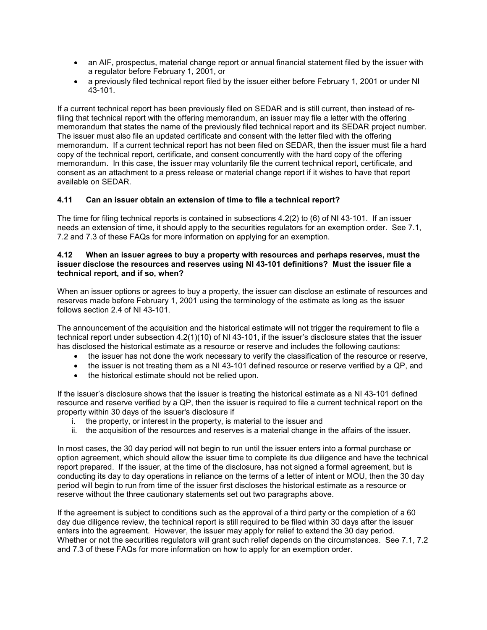- an AIF, prospectus, material change report or annual financial statement filed by the issuer with a regulator before February 1, 2001, or
- a previously filed technical report filed by the issuer either before February 1, 2001 or under NI 43-101.

If a current technical report has been previously filed on SEDAR and is still current, then instead of refiling that technical report with the offering memorandum, an issuer may file a letter with the offering memorandum that states the name of the previously filed technical report and its SEDAR project number. The issuer must also file an updated certificate and consent with the letter filed with the offering memorandum. If a current technical report has not been filed on SEDAR, then the issuer must file a hard copy of the technical report, certificate, and consent concurrently with the hard copy of the offering memorandum. In this case, the issuer may voluntarily file the current technical report, certificate, and consent as an attachment to a press release or material change report if it wishes to have that report available on SEDAR.

## **4.11 Can an issuer obtain an extension of time to file a technical report?**

The time for filing technical reports is contained in subsections 4.2(2) to (6) of NI 43-101. If an issuer needs an extension of time, it should apply to the securities regulators for an exemption order. See 7.1, 7.2 and 7.3 of these FAQs for more information on applying for an exemption.

#### **4.12 When an issuer agrees to buy a property with resources and perhaps reserves, must the issuer disclose the resources and reserves using NI 43-101 definitions? Must the issuer file a technical report, and if so, when?**

When an issuer options or agrees to buy a property, the issuer can disclose an estimate of resources and reserves made before February 1, 2001 using the terminology of the estimate as long as the issuer follows section 2.4 of NI 43-101.

The announcement of the acquisition and the historical estimate will not trigger the requirement to file a technical report under subsection 4.2(1)(10) of NI 43-101, if the issuer's disclosure states that the issuer has disclosed the historical estimate as a resource or reserve and includes the following cautions:

- the issuer has not done the work necessary to verify the classification of the resource or reserve,
- the issuer is not treating them as a NI 43-101 defined resource or reserve verified by a QP, and
- the historical estimate should not be relied upon.

If the issuer's disclosure shows that the issuer is treating the historical estimate as a NI 43-101 defined resource and reserve verified by a QP, then the issuer is required to file a current technical report on the property within 30 days of the issuer's disclosure if

- i. the property, or interest in the property, is material to the issuer and
- ii. the acquisition of the resources and reserves is a material change in the affairs of the issuer.

In most cases, the 30 day period will not begin to run until the issuer enters into a formal purchase or option agreement, which should allow the issuer time to complete its due diligence and have the technical report prepared. If the issuer, at the time of the disclosure, has not signed a formal agreement, but is conducting its day to day operations in reliance on the terms of a letter of intent or MOU, then the 30 day period will begin to run from time of the issuer first discloses the historical estimate as a resource or reserve without the three cautionary statements set out two paragraphs above.

If the agreement is subject to conditions such as the approval of a third party or the completion of a 60 day due diligence review, the technical report is still required to be filed within 30 days after the issuer enters into the agreement. However, the issuer may apply for relief to extend the 30 day period. Whether or not the securities regulators will grant such relief depends on the circumstances. See 7.1, 7.2 and 7.3 of these FAQs for more information on how to apply for an exemption order.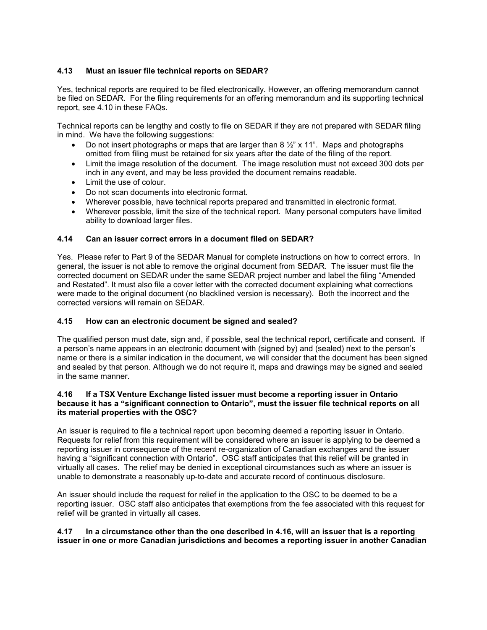## **4.13 Must an issuer file technical reports on SEDAR?**

Yes, technical reports are required to be filed electronically. However, an offering memorandum cannot be filed on SEDAR. For the filing requirements for an offering memorandum and its supporting technical report, see 4.10 in these FAQs.

Technical reports can be lengthy and costly to file on SEDAR if they are not prepared with SEDAR filing in mind. We have the following suggestions:

- Do not insert photographs or maps that are larger than 8  $\frac{1}{2}$  x 11". Maps and photographs omitted from filing must be retained for six years after the date of the filing of the report.
- Limit the image resolution of the document. The image resolution must not exceed 300 dots per inch in any event, and may be less provided the document remains readable.
- Limit the use of colour.
- Do not scan documents into electronic format.
- Wherever possible, have technical reports prepared and transmitted in electronic format.
- Wherever possible, limit the size of the technical report. Many personal computers have limited ability to download larger files.

## **4.14 Can an issuer correct errors in a document filed on SEDAR?**

Yes. Please refer to Part 9 of the SEDAR Manual for complete instructions on how to correct errors. In general, the issuer is not able to remove the original document from SEDAR. The issuer must file the corrected document on SEDAR under the same SEDAR project number and label the filing "Amended and Restated". It must also file a cover letter with the corrected document explaining what corrections were made to the original document (no blacklined version is necessary). Both the incorrect and the corrected versions will remain on SEDAR.

#### **4.15 How can an electronic document be signed and sealed?**

The qualified person must date, sign and, if possible, seal the technical report, certificate and consent. If a person's name appears in an electronic document with (signed by) and (sealed) next to the person's name or there is a similar indication in the document, we will consider that the document has been signed and sealed by that person. Although we do not require it, maps and drawings may be signed and sealed in the same manner.

#### **4.16 If a TSX Venture Exchange listed issuer must become a reporting issuer in Ontario because it has a "significant connection to Ontario", must the issuer file technical reports on all its material properties with the OSC?**

An issuer is required to file a technical report upon becoming deemed a reporting issuer in Ontario. Requests for relief from this requirement will be considered where an issuer is applying to be deemed a reporting issuer in consequence of the recent re-organization of Canadian exchanges and the issuer having a "significant connection with Ontario". OSC staff anticipates that this relief will be granted in virtually all cases. The relief may be denied in exceptional circumstances such as where an issuer is unable to demonstrate a reasonably up-to-date and accurate record of continuous disclosure.

An issuer should include the request for relief in the application to the OSC to be deemed to be a reporting issuer. OSC staff also anticipates that exemptions from the fee associated with this request for relief will be granted in virtually all cases.

## **4.17 In a circumstance other than the one described in 4.16, will an issuer that is a reporting issuer in one or more Canadian jurisdictions and becomes a reporting issuer in another Canadian**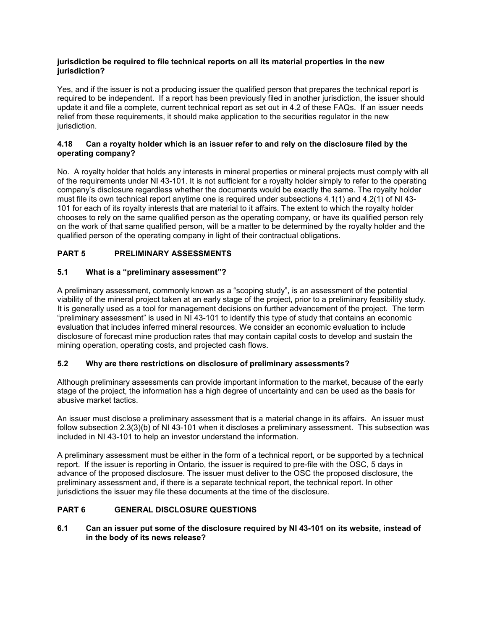## **jurisdiction be required to file technical reports on all its material properties in the new jurisdiction?**

Yes, and if the issuer is not a producing issuer the qualified person that prepares the technical report is required to be independent. If a report has been previously filed in another jurisdiction, the issuer should update it and file a complete, current technical report as set out in 4.2 of these FAQs. If an issuer needs relief from these requirements, it should make application to the securities regulator in the new jurisdiction.

## **4.18 Can a royalty holder which is an issuer refer to and rely on the disclosure filed by the operating company?**

No. A royalty holder that holds any interests in mineral properties or mineral projects must comply with all of the requirements under NI 43-101. It is not sufficient for a royalty holder simply to refer to the operating company's disclosure regardless whether the documents would be exactly the same. The royalty holder must file its own technical report anytime one is required under subsections 4.1(1) and 4.2(1) of NI 43- 101 for each of its royalty interests that are material to it affairs. The extent to which the royalty holder chooses to rely on the same qualified person as the operating company, or have its qualified person rely on the work of that same qualified person, will be a matter to be determined by the royalty holder and the qualified person of the operating company in light of their contractual obligations.

# **PART 5 PRELIMINARY ASSESSMENTS**

## **5.1 What is a "preliminary assessment"?**

A preliminary assessment, commonly known as a "scoping study", is an assessment of the potential viability of the mineral project taken at an early stage of the project, prior to a preliminary feasibility study. It is generally used as a tool for management decisions on further advancement of the project. The term "preliminary assessment" is used in NI 43-101 to identify this type of study that contains an economic evaluation that includes inferred mineral resources. We consider an economic evaluation to include disclosure of forecast mine production rates that may contain capital costs to develop and sustain the mining operation, operating costs, and projected cash flows.

## **5.2 Why are there restrictions on disclosure of preliminary assessments?**

Although preliminary assessments can provide important information to the market, because of the early stage of the project, the information has a high degree of uncertainty and can be used as the basis for abusive market tactics.

An issuer must disclose a preliminary assessment that is a material change in its affairs. An issuer must follow subsection 2.3(3)(b) of NI 43-101 when it discloses a preliminary assessment. This subsection was included in NI 43-101 to help an investor understand the information.

A preliminary assessment must be either in the form of a technical report, or be supported by a technical report. If the issuer is reporting in Ontario, the issuer is required to pre-file with the OSC, 5 days in advance of the proposed disclosure. The issuer must deliver to the OSC the proposed disclosure, the preliminary assessment and, if there is a separate technical report, the technical report. In other jurisdictions the issuer may file these documents at the time of the disclosure.

# **PART 6 GENERAL DISCLOSURE QUESTIONS**

**6.1 Can an issuer put some of the disclosure required by NI 43-101 on its website, instead of in the body of its news release?**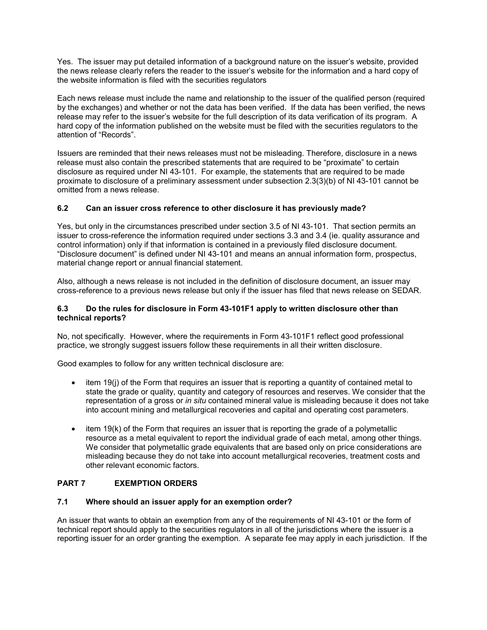Yes. The issuer may put detailed information of a background nature on the issuer's website, provided the news release clearly refers the reader to the issuer's website for the information and a hard copy of the website information is filed with the securities regulators

Each news release must include the name and relationship to the issuer of the qualified person (required by the exchanges) and whether or not the data has been verified. If the data has been verified, the news release may refer to the issuer's website for the full description of its data verification of its program. A hard copy of the information published on the website must be filed with the securities regulators to the attention of "Records".

Issuers are reminded that their news releases must not be misleading. Therefore, disclosure in a news release must also contain the prescribed statements that are required to be "proximate" to certain disclosure as required under NI 43-101. For example, the statements that are required to be made proximate to disclosure of a preliminary assessment under subsection 2.3(3)(b) of NI 43-101 cannot be omitted from a news release.

## **6.2 Can an issuer cross reference to other disclosure it has previously made?**

Yes, but only in the circumstances prescribed under section 3.5 of NI 43-101. That section permits an issuer to cross-reference the information required under sections 3.3 and 3.4 (ie. quality assurance and control information) only if that information is contained in a previously filed disclosure document. "Disclosure document" is defined under NI 43-101 and means an annual information form, prospectus, material change report or annual financial statement.

Also, although a news release is not included in the definition of disclosure document, an issuer may cross-reference to a previous news release but only if the issuer has filed that news release on SEDAR.

### **6.3 Do the rules for disclosure in Form 43-101F1 apply to written disclosure other than technical reports?**

No, not specifically. However, where the requirements in Form 43-101F1 reflect good professional practice, we strongly suggest issuers follow these requirements in all their written disclosure.

Good examples to follow for any written technical disclosure are:

- item 19(j) of the Form that requires an issuer that is reporting a quantity of contained metal to state the grade or quality, quantity and category of resources and reserves. We consider that the representation of a gross or *in situ* contained mineral value is misleading because it does not take into account mining and metallurgical recoveries and capital and operating cost parameters.
- item 19(k) of the Form that requires an issuer that is reporting the grade of a polymetallic resource as a metal equivalent to report the individual grade of each metal, among other things. We consider that polymetallic grade equivalents that are based only on price considerations are misleading because they do not take into account metallurgical recoveries, treatment costs and other relevant economic factors.

## **PART 7 EXEMPTION ORDERS**

## **7.1 Where should an issuer apply for an exemption order?**

An issuer that wants to obtain an exemption from any of the requirements of NI 43-101 or the form of technical report should apply to the securities regulators in all of the jurisdictions where the issuer is a reporting issuer for an order granting the exemption. A separate fee may apply in each jurisdiction. If the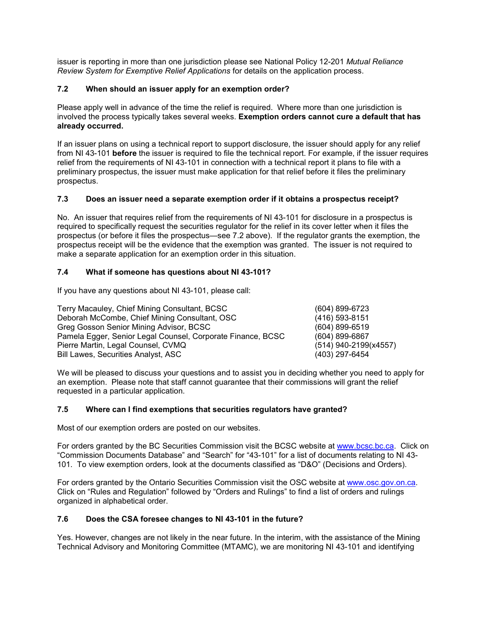issuer is reporting in more than one jurisdiction please see National Policy 12-201 *Mutual Reliance Review System for Exemptive Relief Applications* for details on the application process.

# **7.2 When should an issuer apply for an exemption order?**

Please apply well in advance of the time the relief is required. Where more than one jurisdiction is involved the process typically takes several weeks. **Exemption orders cannot cure a default that has already occurred.**

If an issuer plans on using a technical report to support disclosure, the issuer should apply for any relief from NI 43-101 **before** the issuer is required to file the technical report. For example, if the issuer requires relief from the requirements of NI 43-101 in connection with a technical report it plans to file with a preliminary prospectus, the issuer must make application for that relief before it files the preliminary prospectus.

# **7.3 Does an issuer need a separate exemption order if it obtains a prospectus receipt?**

No. An issuer that requires relief from the requirements of NI 43-101 for disclosure in a prospectus is required to specifically request the securities regulator for the relief in its cover letter when it files the prospectus (or before it files the prospectus—see 7.2 above). If the regulator grants the exemption, the prospectus receipt will be the evidence that the exemption was granted. The issuer is not required to make a separate application for an exemption order in this situation.

## **7.4 What if someone has questions about NI 43-101?**

If you have any questions about NI 43-101, please call:

| Terry Macauley, Chief Mining Consultant, BCSC               | (604) 899-6723        |
|-------------------------------------------------------------|-----------------------|
| Deborah McCombe, Chief Mining Consultant, OSC               | (416) 593-8151        |
| Greg Gosson Senior Mining Advisor, BCSC                     | $(604)$ 899-6519      |
| Pamela Egger, Senior Legal Counsel, Corporate Finance, BCSC | $(604)$ 899-6867      |
| Pierre Martin, Legal Counsel, CVMQ                          | (514) 940-2199(x4557) |
| <b>Bill Lawes, Securities Analyst, ASC</b>                  | (403) 297-6454        |

We will be pleased to discuss your questions and to assist you in deciding whether you need to apply for an exemption. Please note that staff cannot guarantee that their commissions will grant the relief requested in a particular application.

## **7.5 Where can I find exemptions that securities regulators have granted?**

Most of our exemption orders are posted on our websites.

For orders granted by the BC Securities Commission visit the BCSC website at [www.bcsc.bc.ca.](http://www.bcsc.bc.ca/) Click on "Commission Documents Database" and "Search" for "43-101" for a list of documents relating to NI 43- 101. To view exemption orders, look at the documents classified as "D&O" (Decisions and Orders).

For orders granted by the Ontario Securities Commission visit the OSC website at [www.osc.gov.on.ca.](http://www.osc.gov.on.ca/) Click on "Rules and Regulation" followed by "Orders and Rulings" to find a list of orders and rulings organized in alphabetical order.

## **7.6 Does the CSA foresee changes to NI 43-101 in the future?**

Yes. However, changes are not likely in the near future. In the interim, with the assistance of the Mining Technical Advisory and Monitoring Committee (MTAMC), we are monitoring NI 43-101 and identifying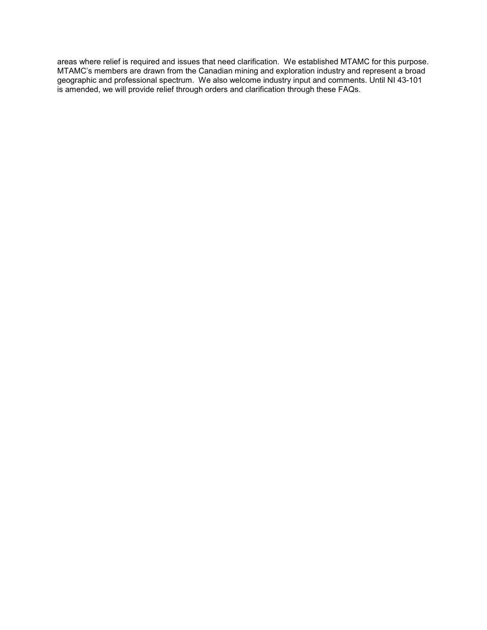areas where relief is required and issues that need clarification. We established MTAMC for this purpose. MTAMC's members are drawn from the Canadian mining and exploration industry and represent a broad geographic and professional spectrum. We also welcome industry input and comments. Until NI 43-101 is amended, we will provide relief through orders and clarification through these FAQs.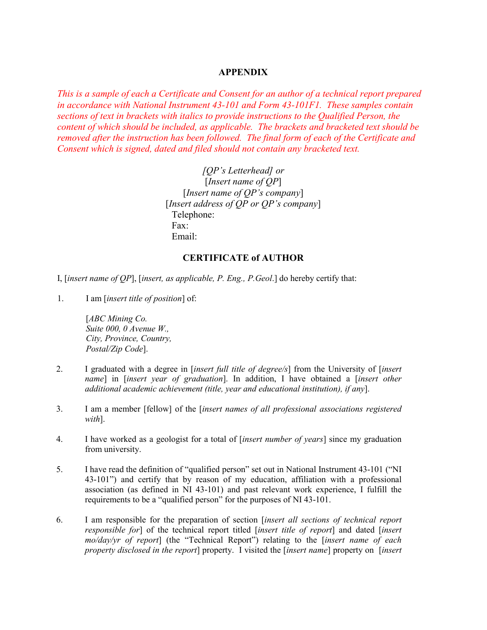# **APPENDIX**

*This is a sample of each a Certificate and Consent for an author of a technical report prepared in accordance with National Instrument 43-101 and Form 43-101F1. These samples contain sections of text in brackets with italics to provide instructions to the Qualified Person, the content of which should be included, as applicable. The brackets and bracketed text should be removed after the instruction has been followed. The final form of each of the Certificate and Consent which is signed, dated and filed should not contain any bracketed text.* 

> *[QP's Letterhead] or* [*Insert name of QP*] [*Insert name of QP's company*] [*Insert address of QP or QP's company*] Telephone: Fax: Email:

# **CERTIFICATE of AUTHOR**

I, [*insert name of QP*], [*insert, as applicable, P. Eng., P.Geol*.] do hereby certify that:

1. I am [*insert title of position*] of:

[*ABC Mining Co. Suite 000, 0 Avenue W., City, Province, Country, Postal/Zip Code*].

- 2. I graduated with a degree in [*insert full title of degree/s*] from the University of [*insert name*] in [*insert year of graduation*]. In addition, I have obtained a [*insert other additional academic achievement (title, year and educational institution), if any*].
- 3. I am a member [fellow] of the [*insert names of all professional associations registered with*].
- 4. I have worked as a geologist for a total of [*insert number of years*] since my graduation from university.
- 5. I have read the definition of "qualified person" set out in National Instrument 43-101 ("NI 43-101") and certify that by reason of my education, affiliation with a professional association (as defined in NI 43-101) and past relevant work experience, I fulfill the requirements to be a "qualified person" for the purposes of NI 43-101.
- 6. I am responsible for the preparation of section [*insert all sections of technical report responsible for*] of the technical report titled [*insert title of report*] and dated [*insert mo/day/yr of report*] (the "Technical Report") relating to the [*insert name of each property disclosed in the report*] property. I visited the [*insert name*] property on [*insert*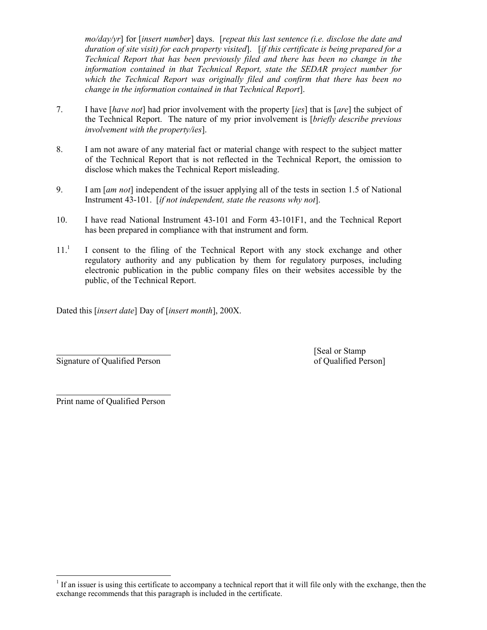*mo/day/yr*] for [*insert number*] days. [*repeat this last sentence (i.e. disclose the date and duration of site visit) for each property visited*]. [*if this certificate is being prepared for a Technical Report that has been previously filed and there has been no change in the information contained in that Technical Report, state the SEDAR project number for which the Technical Report was originally filed and confirm that there has been no change in the information contained in that Technical Report*].

- 7. I have [*have not*] had prior involvement with the property [*ies*] that is [*are*] the subject of the Technical Report. The nature of my prior involvement is [*briefly describe previous involvement with the property/ies*].
- 8. I am not aware of any material fact or material change with respect to the subject matter of the Technical Report that is not reflected in the Technical Report, the omission to disclose which makes the Technical Report misleading.
- 9. I am [*am not*] independent of the issuer applying all of the tests in section 1.5 of National Instrument 43-101. [*if not independent, state the reasons why not*].
- 10. I have read National Instrument 43-101 and Form 43-101F1, and the Technical Report has been prepared in compliance with that instrument and form.
- $11<sup>1</sup>$  $11<sup>1</sup>$  I consent to the filing of the Technical Report with any stock exchange and other regulatory authority and any publication by them for regulatory purposes, including electronic publication in the public company files on their websites accessible by the public, of the Technical Report.

Dated this [*insert date*] Day of [*insert month*], 200X.

Signature of Qualified Person of Qualified Person of Qualified Person of Qualified Person of Qualified Person of Qualified Person of Qualified Person of Qualified Person of Qualified Person of Qualified Person of Qualified

[Seal or Stamp

Print name of Qualified Person

 $\overline{a}$ 

 $\overline{a}$ 

<span id="page-19-0"></span> $<sup>1</sup>$  If an issuer is using this certificate to accompany a technical report that it will file only with the exchange, then the</sup> exchange recommends that this paragraph is included in the certificate.